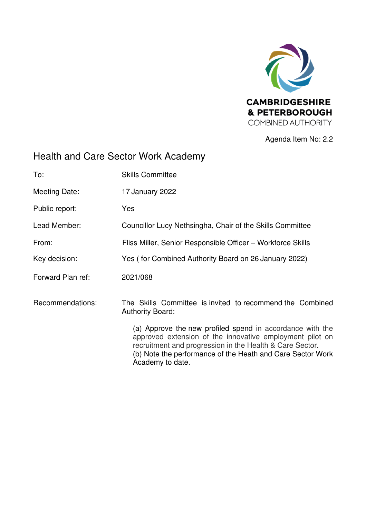

Agenda Item No: 2.2

# Health and Care Sector Work Academy

| To:               | <b>Skills Committee</b>                                                                                                                                                                                                                                             |
|-------------------|---------------------------------------------------------------------------------------------------------------------------------------------------------------------------------------------------------------------------------------------------------------------|
| Meeting Date:     | 17 January 2022                                                                                                                                                                                                                                                     |
| Public report:    | Yes                                                                                                                                                                                                                                                                 |
| Lead Member:      | Councillor Lucy Nethsingha, Chair of the Skills Committee                                                                                                                                                                                                           |
| From:             | Fliss Miller, Senior Responsible Officer - Workforce Skills                                                                                                                                                                                                         |
| Key decision:     | Yes (for Combined Authority Board on 26 January 2022)                                                                                                                                                                                                               |
| Forward Plan ref: | 2021/068                                                                                                                                                                                                                                                            |
| Recommendations:  | The Skills Committee is invited to recommend the Combined<br><b>Authority Board:</b>                                                                                                                                                                                |
|                   | (a) Approve the new profiled spend in accordance with the<br>approved extension of the innovative employment pilot on<br>recruitment and progression in the Health & Care Sector.<br>(b) Note the performance of the Heath and Care Sector Work<br>Academy to date. |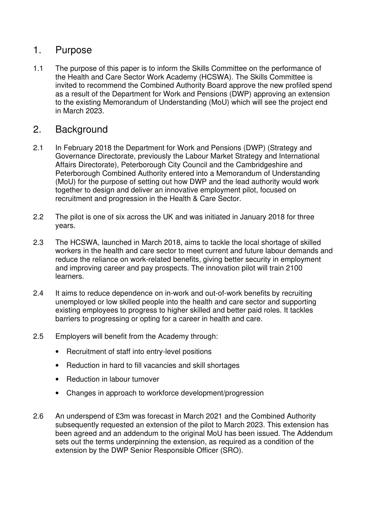### 1. Purpose

1.1 The purpose of this paper is to inform the Skills Committee on the performance of the Health and Care Sector Work Academy (HCSWA). The Skills Committee is invited to recommend the Combined Authority Board approve the new profiled spend as a result of the Department for Work and Pensions (DWP) approving an extension to the existing Memorandum of Understanding (MoU) which will see the project end in March 2023.

#### 2. Background

- 2.1 In February 2018 the Department for Work and Pensions (DWP) (Strategy and Governance Directorate, previously the Labour Market Strategy and International Affairs Directorate), Peterborough City Council and the Cambridgeshire and Peterborough Combined Authority entered into a Memorandum of Understanding (MoU) for the purpose of setting out how DWP and the lead authority would work together to design and deliver an innovative employment pilot, focused on recruitment and progression in the Health & Care Sector.
- 2.2 The pilot is one of six across the UK and was initiated in January 2018 for three years.
- 2.3 The HCSWA, launched in March 2018, aims to tackle the local shortage of skilled workers in the health and care sector to meet current and future labour demands and reduce the reliance on work-related benefits, giving better security in employment and improving career and pay prospects. The innovation pilot will train 2100 learners.
- 2.4 It aims to reduce dependence on in-work and out-of-work benefits by recruiting unemployed or low skilled people into the health and care sector and supporting existing employees to progress to higher skilled and better paid roles. It tackles barriers to progressing or opting for a career in health and care.
- 2.5 Employers will benefit from the Academy through:
	- Recruitment of staff into entry-level positions
	- Reduction in hard to fill vacancies and skill shortages
	- Reduction in labour turnover
	- Changes in approach to workforce development/progression
- 2.6 An underspend of £3m was forecast in March 2021 and the Combined Authority subsequently requested an extension of the pilot to March 2023. This extension has been agreed and an addendum to the original MoU has been issued. The Addendum sets out the terms underpinning the extension, as required as a condition of the extension by the DWP Senior Responsible Officer (SRO).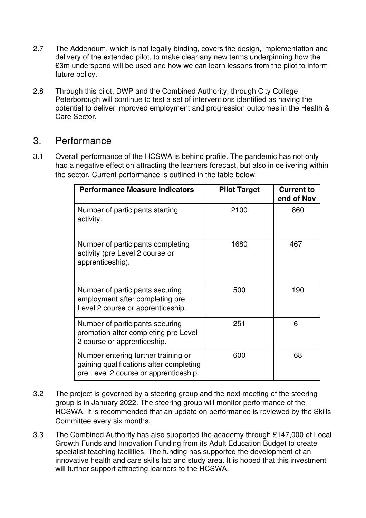- 2.7 The Addendum, which is not legally binding, covers the design, implementation and delivery of the extended pilot, to make clear any new terms underpinning how the £3m underspend will be used and how we can learn lessons from the pilot to inform future policy.
- 2.8 Through this pilot, DWP and the Combined Authority, through City College Peterborough will continue to test a set of interventions identified as having the potential to deliver improved employment and progression outcomes in the Health & Care Sector.

#### 3. Performance

3.1 Overall performance of the HCSWA is behind profile. The pandemic has not only had a negative effect on attracting the learners forecast, but also in delivering within the sector. Current performance is outlined in the table below.

| <b>Performance Measure Indicators</b>                                                                                   | <b>Pilot Target</b> | <b>Current to</b><br>end of Nov |
|-------------------------------------------------------------------------------------------------------------------------|---------------------|---------------------------------|
| Number of participants starting<br>activity.                                                                            | 2100                | 860                             |
| Number of participants completing<br>activity (pre Level 2 course or<br>apprenticeship).                                | 1680                | 467                             |
| Number of participants securing<br>employment after completing pre<br>Level 2 course or apprenticeship.                 | 500                 | 190                             |
| Number of participants securing<br>promotion after completing pre Level<br>2 course or apprenticeship.                  | 251                 | 6                               |
| Number entering further training or<br>gaining qualifications after completing<br>pre Level 2 course or apprenticeship. | 600                 | 68                              |

- 3.2 The project is governed by a steering group and the next meeting of the steering group is in January 2022. The steering group will monitor performance of the HCSWA. It is recommended that an update on performance is reviewed by the Skills Committee every six months.
- 3.3 The Combined Authority has also supported the academy through £147,000 of Local Growth Funds and Innovation Funding from its Adult Education Budget to create specialist teaching facilities. The funding has supported the development of an innovative health and care skills lab and study area. It is hoped that this investment will further support attracting learners to the HCSWA.